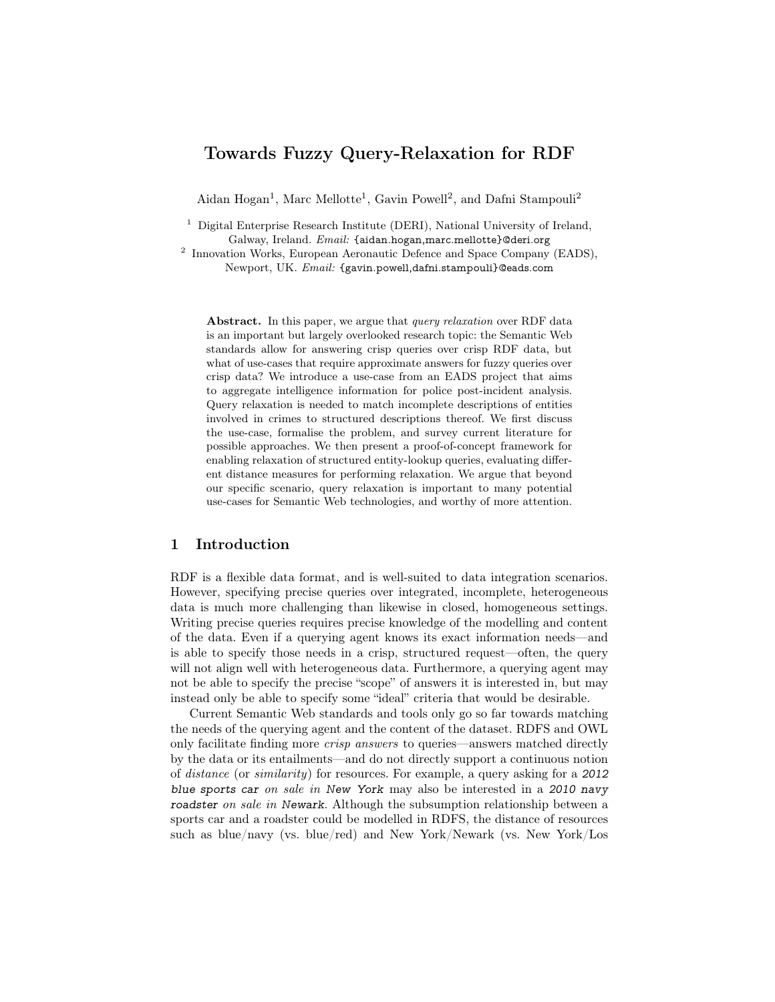# Towards Fuzzy Query-Relaxation for RDF

Aidan Hogan<sup>1</sup>, Marc Mellotte<sup>1</sup>, Gavin Powell<sup>2</sup>, and Dafni Stampouli<sup>2</sup>

<sup>1</sup> Digital Enterprise Research Institute (DERI), National University of Ireland, Galway, Ireland. Email: {aidan.hogan,marc.mellotte}@deri.org

<sup>2</sup> Innovation Works, European Aeronautic Defence and Space Company (EADS), Newport, UK. Email: {gavin.powell,dafni.stampouli}@eads.com

Abstract. In this paper, we argue that *query relaxation* over RDF data is an important but largely overlooked research topic: the Semantic Web standards allow for answering crisp queries over crisp RDF data, but what of use-cases that require approximate answers for fuzzy queries over crisp data? We introduce a use-case from an EADS project that aims to aggregate intelligence information for police post-incident analysis. Query relaxation is needed to match incomplete descriptions of entities involved in crimes to structured descriptions thereof. We first discuss the use-case, formalise the problem, and survey current literature for possible approaches. We then present a proof-of-concept framework for enabling relaxation of structured entity-lookup queries, evaluating different distance measures for performing relaxation. We argue that beyond our specific scenario, query relaxation is important to many potential use-cases for Semantic Web technologies, and worthy of more attention.

### 1 Introduction

RDF is a flexible data format, and is well-suited to data integration scenarios. However, specifying precise queries over integrated, incomplete, heterogeneous data is much more challenging than likewise in closed, homogeneous settings. Writing precise queries requires precise knowledge of the modelling and content of the data. Even if a querying agent knows its exact information needs—and is able to specify those needs in a crisp, structured request—often, the query will not align well with heterogeneous data. Furthermore, a querying agent may not be able to specify the precise "scope" of answers it is interested in, but may instead only be able to specify some "ideal" criteria that would be desirable.

Current Semantic Web standards and tools only go so far towards matching the needs of the querying agent and the content of the dataset. RDFS and OWL only facilitate finding more crisp answers to queries—answers matched directly by the data or its entailments—and do not directly support a continuous notion of distance (or similarity) for resources. For example, a query asking for a 2012 blue sports car on sale in New York may also be interested in a 2010 navy roadster on sale in Newark. Although the subsumption relationship between a sports car and a roadster could be modelled in RDFS, the distance of resources such as blue/navy (vs. blue/red) and New York/Newark (vs. New York/Los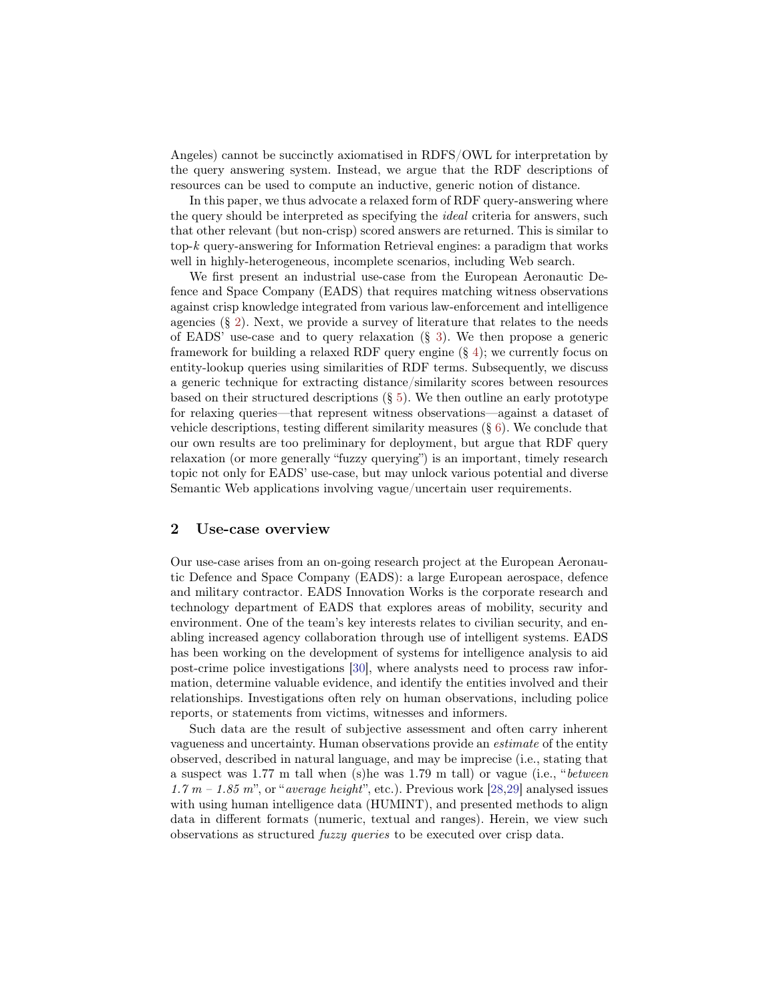Angeles) cannot be succinctly axiomatised in RDFS/OWL for interpretation by the query answering system. Instead, we argue that the RDF descriptions of resources can be used to compute an inductive, generic notion of distance.

In this paper, we thus advocate a relaxed form of RDF query-answering where the query should be interpreted as specifying the *ideal* criteria for answers, such that other relevant (but non-crisp) scored answers are returned. This is similar to top-k query-answering for Information Retrieval engines: a paradigm that works well in highly-heterogeneous, incomplete scenarios, including Web search.

We first present an industrial use-case from the European Aeronautic Defence and Space Company (EADS) that requires matching witness observations against crisp knowledge integrated from various law-enforcement and intelligence agencies  $(\S 2)$  $(\S 2)$ . Next, we provide a survey of literature that relates to the needs of EADS' use-case and to query relaxation  $(\S 3)$  $(\S 3)$ . We then propose a generic framework for building a relaxed RDF query engine  $(\S 4)$  $(\S 4)$ ; we currently focus on entity-lookup queries using similarities of RDF terms. Subsequently, we discuss a generic technique for extracting distance/similarity scores between resources based on their structured descriptions  $(\S 5)$  $(\S 5)$ . We then outline an early prototype for relaxing queries—that represent witness observations—against a dataset of vehicle descriptions, testing different similarity measures (§ [6\)](#page-6-0). We conclude that our own results are too preliminary for deployment, but argue that RDF query relaxation (or more generally "fuzzy querying") is an important, timely research topic not only for EADS' use-case, but may unlock various potential and diverse Semantic Web applications involving vague/uncertain user requirements.

### <span id="page-1-0"></span>2 Use-case overview

Our use-case arises from an on-going research project at the European Aeronautic Defence and Space Company (EADS): a large European aerospace, defence and military contractor. EADS Innovation Works is the corporate research and technology department of EADS that explores areas of mobility, security and environment. One of the team's key interests relates to civilian security, and enabling increased agency collaboration through use of intelligent systems. EADS has been working on the development of systems for intelligence analysis to aid post-crime police investigations [\[30\]](#page-14-0), where analysts need to process raw information, determine valuable evidence, and identify the entities involved and their relationships. Investigations often rely on human observations, including police reports, or statements from victims, witnesses and informers.

Such data are the result of subjective assessment and often carry inherent vagueness and uncertainty. Human observations provide an estimate of the entity observed, described in natural language, and may be imprecise (i.e., stating that a suspect was 1.77 m tall when (s)he was 1.79 m tall) or vague (i.e., " between 1.7 m – 1.85 m", or "average height", etc.). Previous work [\[28,](#page-14-1)[29\]](#page-14-2) analysed issues with using human intelligence data (HUMINT), and presented methods to align data in different formats (numeric, textual and ranges). Herein, we view such observations as structured fuzzy queries to be executed over crisp data.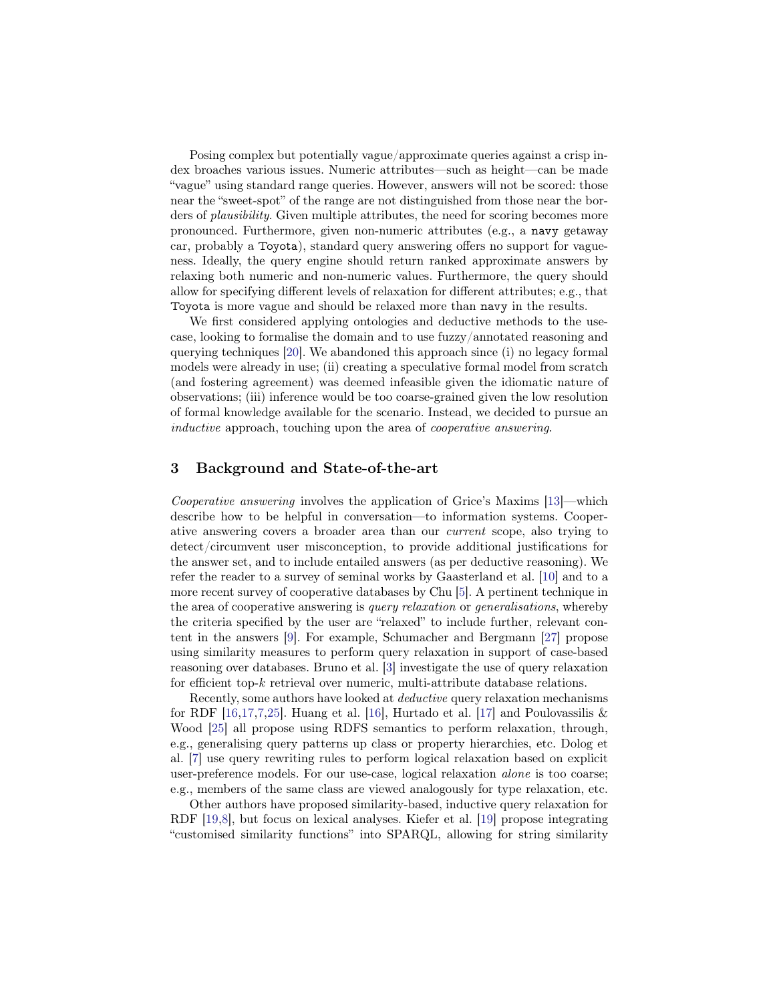Posing complex but potentially vague/approximate queries against a crisp index broaches various issues. Numeric attributes—such as height—can be made "vague" using standard range queries. However, answers will not be scored: those near the "sweet-spot" of the range are not distinguished from those near the borders of *plausibility*. Given multiple attributes, the need for scoring becomes more pronounced. Furthermore, given non-numeric attributes (e.g., a navy getaway car, probably a Toyota), standard query answering offers no support for vagueness. Ideally, the query engine should return ranked approximate answers by relaxing both numeric and non-numeric values. Furthermore, the query should allow for specifying different levels of relaxation for different attributes; e.g., that Toyota is more vague and should be relaxed more than navy in the results.

We first considered applying ontologies and deductive methods to the usecase, looking to formalise the domain and to use fuzzy/annotated reasoning and querying techniques [\[20\]](#page-14-3). We abandoned this approach since (i) no legacy formal models were already in use; (ii) creating a speculative formal model from scratch (and fostering agreement) was deemed infeasible given the idiomatic nature of observations; (iii) inference would be too coarse-grained given the low resolution of formal knowledge available for the scenario. Instead, we decided to pursue an inductive approach, touching upon the area of cooperative answering.

### <span id="page-2-0"></span>3 Background and State-of-the-art

Cooperative answering involves the application of Grice's Maxims [\[13\]](#page-14-4)—which describe how to be helpful in conversation—to information systems. Cooperative answering covers a broader area than our current scope, also trying to detect/circumvent user misconception, to provide additional justifications for the answer set, and to include entailed answers (as per deductive reasoning). We refer the reader to a survey of seminal works by Gaasterland et al. [\[10\]](#page-14-5) and to a more recent survey of cooperative databases by Chu [\[5\]](#page-13-0). A pertinent technique in the area of cooperative answering is *query relaxation* or *qeneralisations*, whereby the criteria specified by the user are "relaxed" to include further, relevant content in the answers [\[9\]](#page-14-6). For example, Schumacher and Bergmann [\[27\]](#page-14-7) propose using similarity measures to perform query relaxation in support of case-based reasoning over databases. Bruno et al. [\[3\]](#page-13-1) investigate the use of query relaxation for efficient top-k retrieval over numeric, multi-attribute database relations.

Recently, some authors have looked at deductive query relaxation mechanisms for RDF [\[16,](#page-14-8)[17,](#page-14-9)[7,](#page-13-2)[25\]](#page-14-10). Huang et al. [\[16\]](#page-14-8), Hurtado et al. [\[17\]](#page-14-9) and Poulovassilis  $\&$ Wood [\[25\]](#page-14-10) all propose using RDFS semantics to perform relaxation, through, e.g., generalising query patterns up class or property hierarchies, etc. Dolog et al. [\[7\]](#page-13-2) use query rewriting rules to perform logical relaxation based on explicit user-preference models. For our use-case, logical relaxation alone is too coarse; e.g., members of the same class are viewed analogously for type relaxation, etc.

Other authors have proposed similarity-based, inductive query relaxation for RDF [\[19,](#page-14-11)[8\]](#page-13-3), but focus on lexical analyses. Kiefer et al. [\[19\]](#page-14-11) propose integrating "customised similarity functions" into SPARQL, allowing for string similarity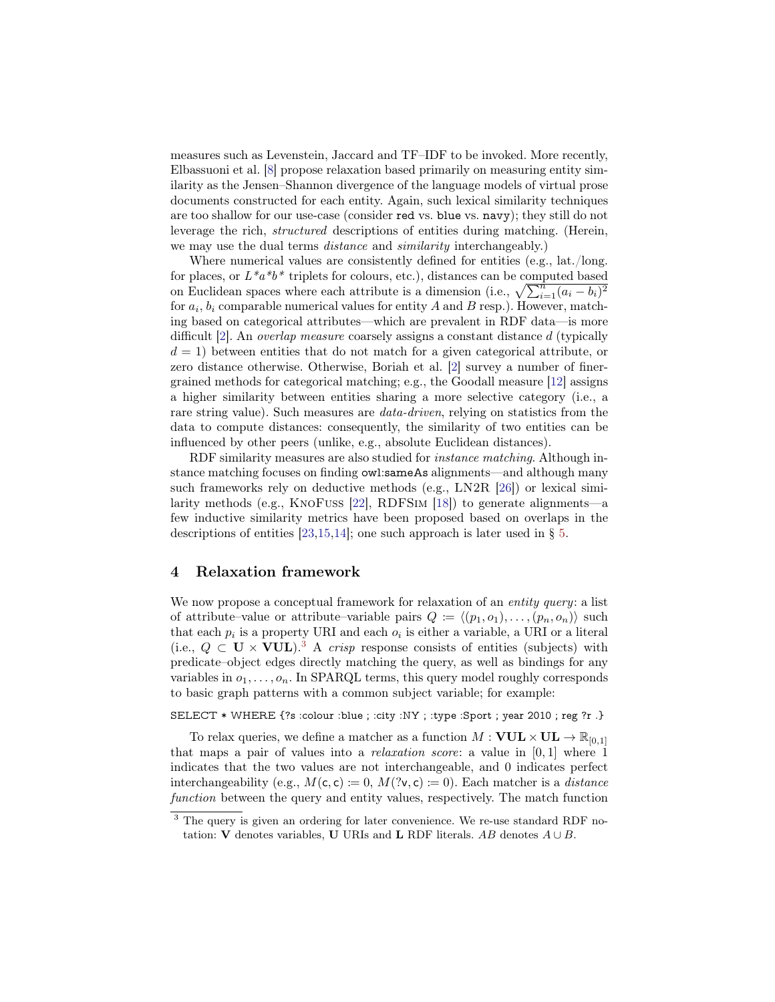measures such as Levenstein, Jaccard and TF–IDF to be invoked. More recently, Elbassuoni et al. [\[8\]](#page-13-3) propose relaxation based primarily on measuring entity similarity as the Jensen–Shannon divergence of the language models of virtual prose documents constructed for each entity. Again, such lexical similarity techniques are too shallow for our use-case (consider red vs. blue vs. navy); they still do not leverage the rich, structured descriptions of entities during matching. (Herein, we may use the dual terms *distance* and *similarity* interchangeably.)

Where numerical values are consistently defined for entities (e.g., lat./long. for places, or  $L^*a^*b^*$  triplets for colours, etc.), distances can be computed based on Euclidean spaces where each attribute is a dimension (i.e.,  $\sqrt{\sum_{i=1}^{n}(a_i - b_i)^2}$ for  $a_i, b_i$  comparable numerical values for entity A and B resp.). However, matching based on categorical attributes—which are prevalent in RDF data—is more difficult [\[2\]](#page-13-4). An overlap measure coarsely assigns a constant distance d (typically  $d = 1$ ) between entities that do not match for a given categorical attribute, or zero distance otherwise. Otherwise, Boriah et al. [\[2\]](#page-13-4) survey a number of finergrained methods for categorical matching; e.g., the Goodall measure [\[12\]](#page-14-12) assigns a higher similarity between entities sharing a more selective category (i.e., a rare string value). Such measures are *data-driven*, relying on statistics from the data to compute distances: consequently, the similarity of two entities can be influenced by other peers (unlike, e.g., absolute Euclidean distances).

RDF similarity measures are also studied for instance matching. Although instance matching focuses on finding owl:sameAs alignments—and although many such frameworks rely on deductive methods (e.g., LN2R [\[26\]](#page-14-13)) or lexical similarity methods (e.g., KnoFuss [\[22\]](#page-14-14), RDFSim [\[18\]](#page-14-15)) to generate alignments—a few inductive similarity metrics have been proposed based on overlaps in the descriptions of entities  $[23,15,14]$  $[23,15,14]$  $[23,15,14]$ ; one such approach is later used in § [5.](#page-5-0)

### <span id="page-3-0"></span>4 Relaxation framework

We now propose a conceptual framework for relaxation of an *entity query*: a list of attribute–value or attribute–variable pairs  $Q := \langle (p_1, o_1), \ldots, (p_n, o_n) \rangle$  such that each  $p_i$  is a property URI and each  $o_i$  is either a variable, a URI or a literal (i.e.,  $Q \subset U \times VUL$ ).<sup>[3](#page-3-1)</sup> A *crisp* response consists of entities (subjects) with predicate–object edges directly matching the query, as well as bindings for any variables in  $o_1, \ldots, o_n$ . In SPARQL terms, this query model roughly corresponds to basic graph patterns with a common subject variable; for example:

SELECT \* WHERE {?s :colour :blue ; :city :NY ; :type :Sport ; year 2010 ; reg ?r .}

To relax queries, we define a matcher as a function  $M:$   $VUL \times UL \rightarrow \mathbb{R}_{[0,1]}$ that maps a pair of values into a *relaxation score*: a value in  $[0, 1]$  where 1 indicates that the two values are not interchangeable, and 0 indicates perfect interchangeability (e.g.,  $M(c, c) := 0$ ,  $M(?v, c) := 0$ ). Each matcher is a *distance* function between the query and entity values, respectively. The match function

<span id="page-3-1"></span><sup>&</sup>lt;sup>3</sup> The query is given an ordering for later convenience. We re-use standard RDF notation: V denotes variables, U URIs and L RDF literals. AB denotes  $A \cup B$ .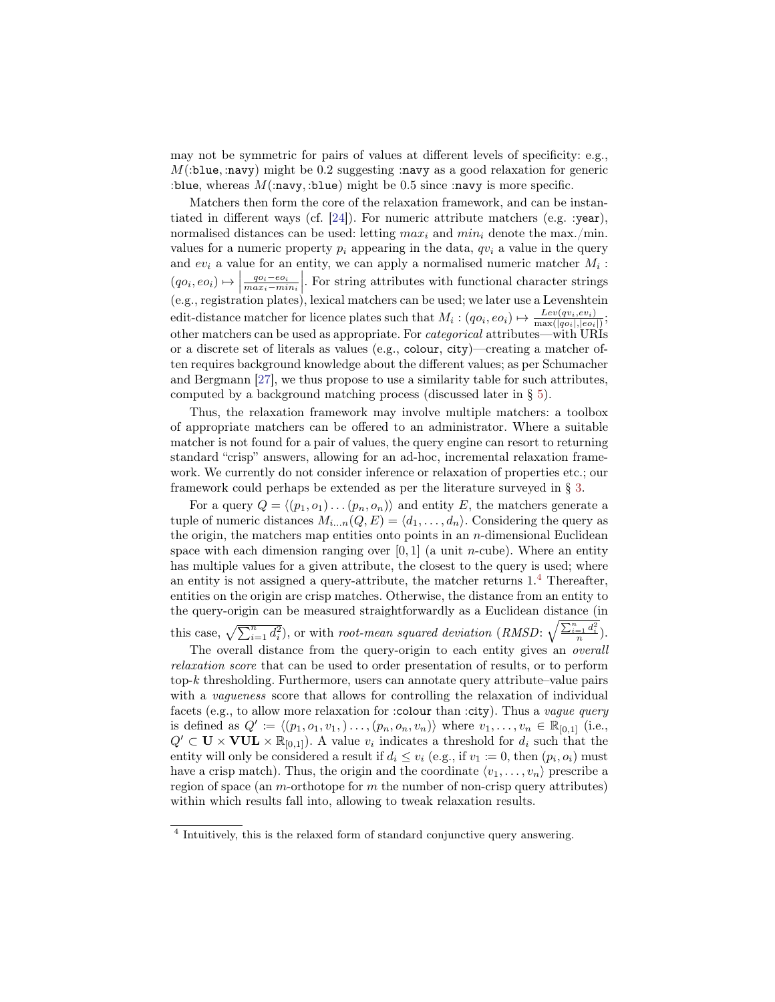may not be symmetric for pairs of values at different levels of specificity: e.g.,  $M($ :blue, :navy) might be 0.2 suggesting :navy as a good relaxation for generic :blue, whereas  $M(\text{many}, \text{:blue})$  might be 0.5 since :navy is more specific.

Matchers then form the core of the relaxation framework, and can be instantiated in different ways (cf.  $[24]$ ). For numeric attribute matchers (e.g. :year), normalised distances can be used: letting  $max_i$  and  $min_i$  denote the max./min. values for a numeric property  $p_i$  appearing in the data,  $qv_i$  a value in the query and  $ev_i$  a value for an entity, we can apply a normalised numeric matcher  $M_i$ :  $(qo_i, eo_i) \mapsto$  $\frac{qo_i - eo_i}{max_i - min_i}$ . For string attributes with functional character strings (e.g., registration plates), lexical matchers can be used; we later use a Levenshtein edit-distance matcher for licence plates such that  $M_i: (q\overline{o_i}, e\overline{o_i}) \mapsto \frac{Lev(qv_i, ev_i)}{\max(|q\overline{o_i}|, |e\overline{o_i}|)};$ other matchers can be used as appropriate. For *categorical* attributes—with URIs or a discrete set of literals as values (e.g., colour, city)—creating a matcher often requires background knowledge about the different values; as per Schumacher and Bergmann [\[27\]](#page-14-7), we thus propose to use a similarity table for such attributes, computed by a background matching process (discussed later in § [5\)](#page-5-0).

Thus, the relaxation framework may involve multiple matchers: a toolbox of appropriate matchers can be offered to an administrator. Where a suitable matcher is not found for a pair of values, the query engine can resort to returning standard "crisp" answers, allowing for an ad-hoc, incremental relaxation framework. We currently do not consider inference or relaxation of properties etc.; our framework could perhaps be extended as per the literature surveyed in § [3.](#page-2-0)

For a query  $Q = \langle (p_1, o_1) \dots (p_n, o_n) \rangle$  and entity E, the matchers generate a tuple of numeric distances  $M_{i...n}(Q, E) = \langle d_1, \ldots, d_n \rangle$ . Considering the query as the origin, the matchers map entities onto points in an  $n$ -dimensional Euclidean space with each dimension ranging over  $[0, 1]$  (a unit *n*-cube). Where an entity has multiple values for a given attribute, the closest to the query is used; where an entity is not assigned a query-attribute, the matcher returns  $1<sup>4</sup>$  $1<sup>4</sup>$  $1<sup>4</sup>$  Thereafter, entities on the origin are crisp matches. Otherwise, the distance from an entity to the query-origin can be measured straightforwardly as a Euclidean distance (in this case,  $\sqrt{\sum_{i=1}^n d_i^2}$ , or with root-mean squared deviation  $(RMSD: \sqrt{\frac{\sum_{i=1}^n d_i^2}{n}})$ .

The overall distance from the query-origin to each entity gives an overall relaxation score that can be used to order presentation of results, or to perform  $top-k$  thresholding. Furthermore, users can annotate query attribute–value pairs with a *vagueness* score that allows for controlling the relaxation of individual facets (e.g., to allow more relaxation for :colour than :city). Thus a vague query is defined as  $Q' := \langle (p_1, o_1, v_1), \ldots, (p_n, o_n, v_n) \rangle$  where  $v_1, \ldots, v_n \in \mathbb{R}_{[0,1]}$  (i.e.,  $Q' \subset U \times \text{VUL} \times \mathbb{R}_{[0,1]}$ . A value  $v_i$  indicates a threshold for  $d_i$  such that the entity will only be considered a result if  $d_i \leq v_i$  (e.g., if  $v_1 := 0$ , then  $(p_i, o_i)$ ) must have a crisp match). Thus, the origin and the coordinate  $\langle v_1, \ldots, v_n \rangle$  prescribe a region of space (an *m*-orthotope for  $m$  the number of non-crisp query attributes) within which results fall into, allowing to tweak relaxation results.

<span id="page-4-0"></span><sup>&</sup>lt;sup>4</sup> Intuitively, this is the relaxed form of standard conjunctive query answering.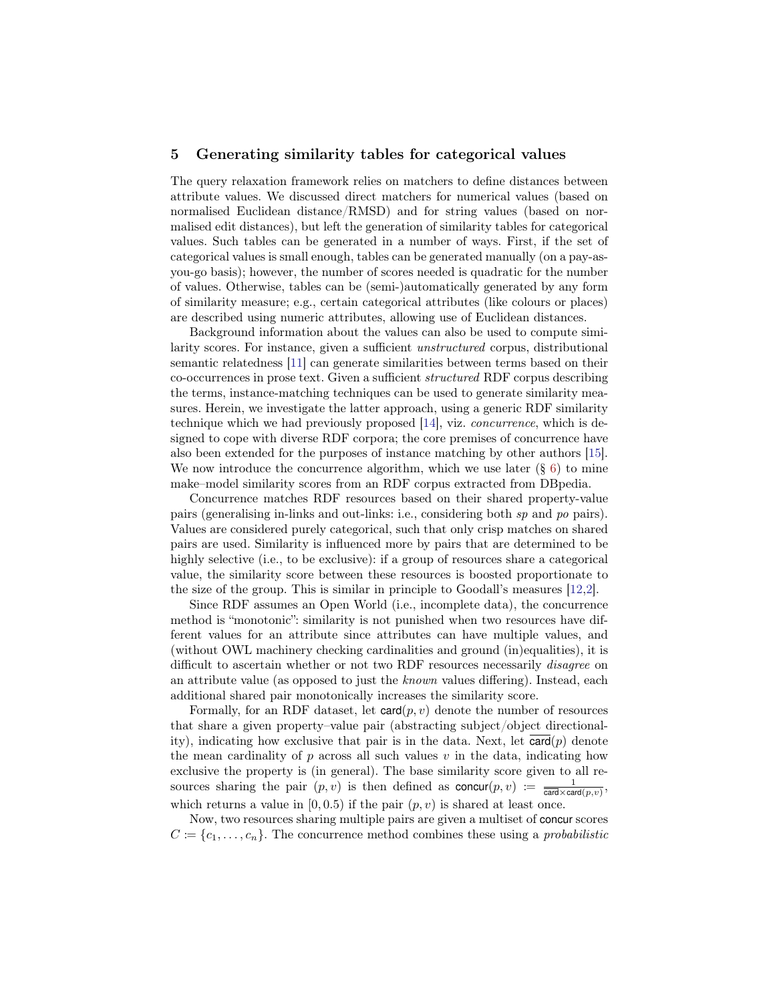### <span id="page-5-0"></span>5 Generating similarity tables for categorical values

The query relaxation framework relies on matchers to define distances between attribute values. We discussed direct matchers for numerical values (based on normalised Euclidean distance/RMSD) and for string values (based on normalised edit distances), but left the generation of similarity tables for categorical values. Such tables can be generated in a number of ways. First, if the set of categorical values is small enough, tables can be generated manually (on a pay-asyou-go basis); however, the number of scores needed is quadratic for the number of values. Otherwise, tables can be (semi-)automatically generated by any form of similarity measure; e.g., certain categorical attributes (like colours or places) are described using numeric attributes, allowing use of Euclidean distances.

Background information about the values can also be used to compute similarity scores. For instance, given a sufficient unstructured corpus, distributional semantic relatedness [\[11\]](#page-14-20) can generate similarities between terms based on their co-occurrences in prose text. Given a sufficient structured RDF corpus describing the terms, instance-matching techniques can be used to generate similarity measures. Herein, we investigate the latter approach, using a generic RDF similarity technique which we had previously proposed [\[14\]](#page-14-18), viz. concurrence, which is designed to cope with diverse RDF corpora; the core premises of concurrence have also been extended for the purposes of instance matching by other authors [\[15\]](#page-14-17). We now introduce the concurrence algorithm, which we use later  $(\S 6)$  $(\S 6)$  to mine make–model similarity scores from an RDF corpus extracted from DBpedia.

Concurrence matches RDF resources based on their shared property-value pairs (generalising in-links and out-links: i.e., considering both sp and po pairs). Values are considered purely categorical, such that only crisp matches on shared pairs are used. Similarity is influenced more by pairs that are determined to be highly selective (i.e., to be exclusive): if a group of resources share a categorical value, the similarity score between these resources is boosted proportionate to the size of the group. This is similar in principle to Goodall's measures [\[12,](#page-14-12)[2\]](#page-13-4).

Since RDF assumes an Open World (i.e., incomplete data), the concurrence method is "monotonic": similarity is not punished when two resources have different values for an attribute since attributes can have multiple values, and (without OWL machinery checking cardinalities and ground (in)equalities), it is difficult to ascertain whether or not two RDF resources necessarily *disagree* on an attribute value (as opposed to just the known values differing). Instead, each additional shared pair monotonically increases the similarity score.

Formally, for an RDF dataset, let  $\text{card}(p, v)$  denote the number of resources that share a given property–value pair (abstracting subject/object directionality), indicating how exclusive that pair is in the data. Next, let  $card(p)$  denote the mean cardinality of  $p$  across all such values  $v$  in the data, indicating how exclusive the property is (in general). The base similarity score given to all resources sharing the pair  $(p, v)$  is then defined as concur $(p, v) := \frac{1}{\text{card} \times \text{card}(p, v)},$ which returns a value in  $[0, 0.5)$  if the pair  $(p, v)$  is shared at least once.

Now, two resources sharing multiple pairs are given a multiset of concur scores  $C = \{c_1, \ldots, c_n\}$ . The concurrence method combines these using a probabilistic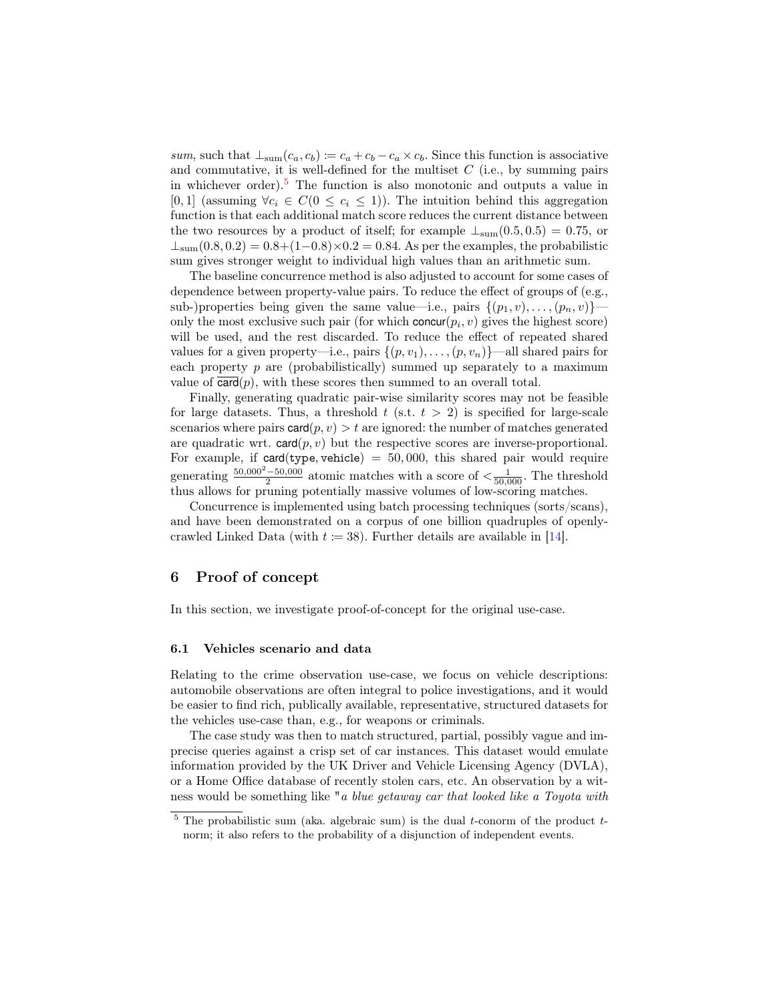sum, such that  $\perp_{sum}(c_a, c_b) := c_a + c_b - c_a \times c_b$ . Since this function is associative and commutative, it is well-defined for the multiset  $C$  (i.e., by summing pairs in whichever order).[5](#page-6-1) The function is also monotonic and outputs a value in [0, 1] (assuming  $\forall c_i \in C(0 \leq c_i \leq 1)$ ). The intuition behind this aggregation function is that each additional match score reduces the current distance between the two resources by a product of itself; for example  $\perp$ <sub>sum</sub> $(0.5, 0.5) = 0.75$ , or  $\perp$ <sub>sum</sub> $(0.8, 0.2) = 0.8 + (1 - 0.8) \times 0.2 = 0.84$ . As per the examples, the probabilistic sum gives stronger weight to individual high values than an arithmetic sum.

The baseline concurrence method is also adjusted to account for some cases of dependence between property-value pairs. To reduce the effect of groups of (e.g., sub-)properties being given the same value—i.e., pairs  $\{(p_1, v), \ldots, (p_n, v)\}$  only the most exclusive such pair (for which  $\text{concur}(p_i, v)$  gives the highest score) will be used, and the rest discarded. To reduce the effect of repeated shared values for a given property—i.e., pairs  $\{(p, v_1), \ldots, (p, v_n)\}$ —all shared pairs for each property  $p$  are (probabilistically) summed up separately to a maximum value of  $\overline{\text{card}}(p)$ , with these scores then summed to an overall total.

Finally, generating quadratic pair-wise similarity scores may not be feasible for large datasets. Thus, a threshold  $t$  (s.t.  $t > 2$ ) is specified for large-scale scenarios where pairs  $card(p, v) > t$  are ignored: the number of matches generated are quadratic wrt.  $card(p, v)$  but the respective scores are inverse-proportional. For example, if  $card(type, vehicle) = 50,000$ , this shared pair would require generating  $\frac{50,000^2 - 50,000}{2}$  atomic matches with a score of  $\lt \frac{1}{50,000}$ . The threshold thus allows for pruning potentially massive volumes of low-scoring matches.

Concurrence is implemented using batch processing techniques (sorts/scans), and have been demonstrated on a corpus of one billion quadruples of openlycrawled Linked Data (with  $t = 38$ ). Further details are available in [\[14\]](#page-14-18).

### <span id="page-6-0"></span>6 Proof of concept

In this section, we investigate proof-of-concept for the original use-case.

#### 6.1 Vehicles scenario and data

Relating to the crime observation use-case, we focus on vehicle descriptions: automobile observations are often integral to police investigations, and it would be easier to find rich, publically available, representative, structured datasets for the vehicles use-case than, e.g., for weapons or criminals.

The case study was then to match structured, partial, possibly vague and imprecise queries against a crisp set of car instances. This dataset would emulate information provided by the UK Driver and Vehicle Licensing Agency (DVLA), or a Home Office database of recently stolen cars, etc. An observation by a witness would be something like "a blue getaway car that looked like a Toyota with

<span id="page-6-1"></span> $5$  The probabilistic sum (aka. algebraic sum) is the dual t-conorm of the product tnorm; it also refers to the probability of a disjunction of independent events.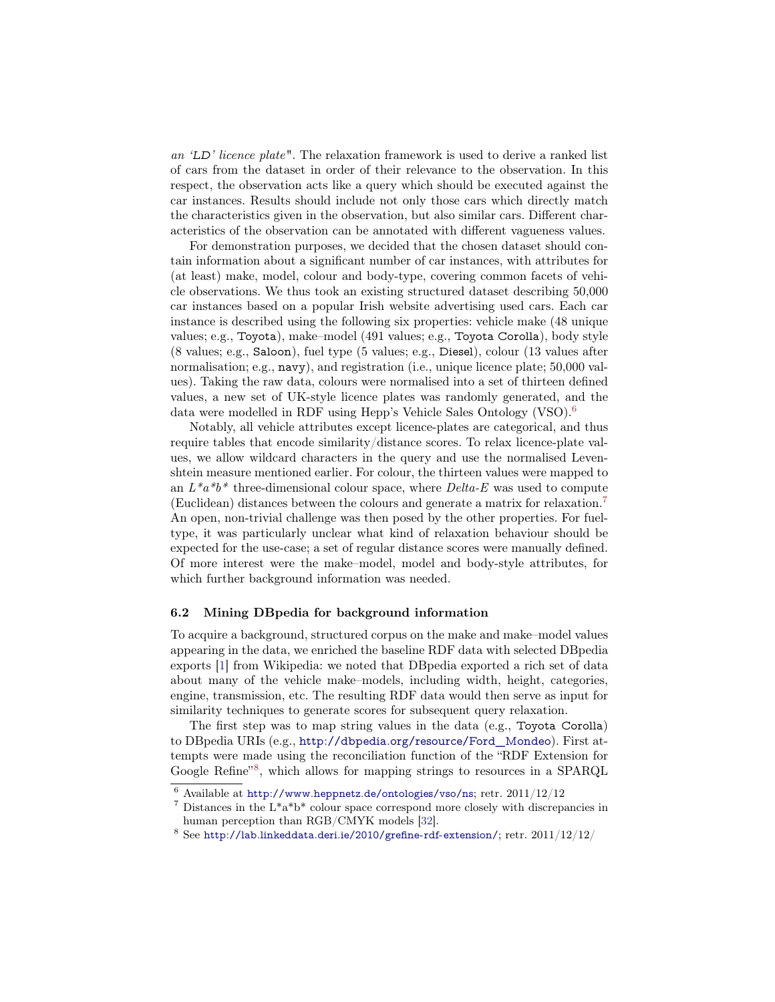an 'LD' licence plate". The relaxation framework is used to derive a ranked list of cars from the dataset in order of their relevance to the observation. In this respect, the observation acts like a query which should be executed against the car instances. Results should include not only those cars which directly match the characteristics given in the observation, but also similar cars. Different characteristics of the observation can be annotated with different vagueness values.

For demonstration purposes, we decided that the chosen dataset should contain information about a significant number of car instances, with attributes for (at least) make, model, colour and body-type, covering common facets of vehicle observations. We thus took an existing structured dataset describing 50,000 car instances based on a popular Irish website advertising used cars. Each car instance is described using the following six properties: vehicle make (48 unique values; e.g., Toyota), make–model (491 values; e.g., Toyota Corolla), body style (8 values; e.g., Saloon), fuel type (5 values; e.g., Diesel), colour (13 values after normalisation; e.g., navy), and registration (i.e., unique licence plate; 50,000 values). Taking the raw data, colours were normalised into a set of thirteen defined values, a new set of UK-style licence plates was randomly generated, and the data were modelled in RDF using Hepp's Vehicle Sales Ontology (VSO).[6](#page-7-0)

Notably, all vehicle attributes except licence-plates are categorical, and thus require tables that encode similarity/distance scores. To relax licence-plate values, we allow wildcard characters in the query and use the normalised Levenshtein measure mentioned earlier. For colour, the thirteen values were mapped to an  $L^*a^*b^*$  three-dimensional colour space, where  $DeltaE$  was used to compute (Euclidean) distances between the colours and generate a matrix for relaxation.[7](#page-7-1) An open, non-trivial challenge was then posed by the other properties. For fueltype, it was particularly unclear what kind of relaxation behaviour should be expected for the use-case; a set of regular distance scores were manually defined. Of more interest were the make–model, model and body-style attributes, for which further background information was needed.

### 6.2 Mining DBpedia for background information

To acquire a background, structured corpus on the make and make–model values appearing in the data, we enriched the baseline RDF data with selected DBpedia exports [\[1\]](#page-13-5) from Wikipedia: we noted that DBpedia exported a rich set of data about many of the vehicle make–models, including width, height, categories, engine, transmission, etc. The resulting RDF data would then serve as input for similarity techniques to generate scores for subsequent query relaxation.

The first step was to map string values in the data (e.g., Toyota Corolla) to DBpedia URIs (e.g., [http://dbpedia.org/resource/Ford\\_Mondeo](http://dbpedia.org/resource/Ford_Mondeo)). First attempts were made using the reconciliation function of the "RDF Extension for Google Refine"<sup>[8](#page-7-2)</sup>, which allows for mapping strings to resources in a SPARQL

<span id="page-7-0"></span> $6$  Available at <http://www.heppnetz.de/ontologies/vso/ns>; retr. 2011/12/12

<span id="page-7-1"></span><sup>&</sup>lt;sup>7</sup> Distances in the  $L^*a^*b^*$  colour space correspond more closely with discrepancies in human perception than RGB/CMYK models [\[32\]](#page-14-21).

<span id="page-7-2"></span> $8$  See <http://lab.linkeddata.deri.ie/2010/grefine-rdf-extension/>; retr. 2011/12/12/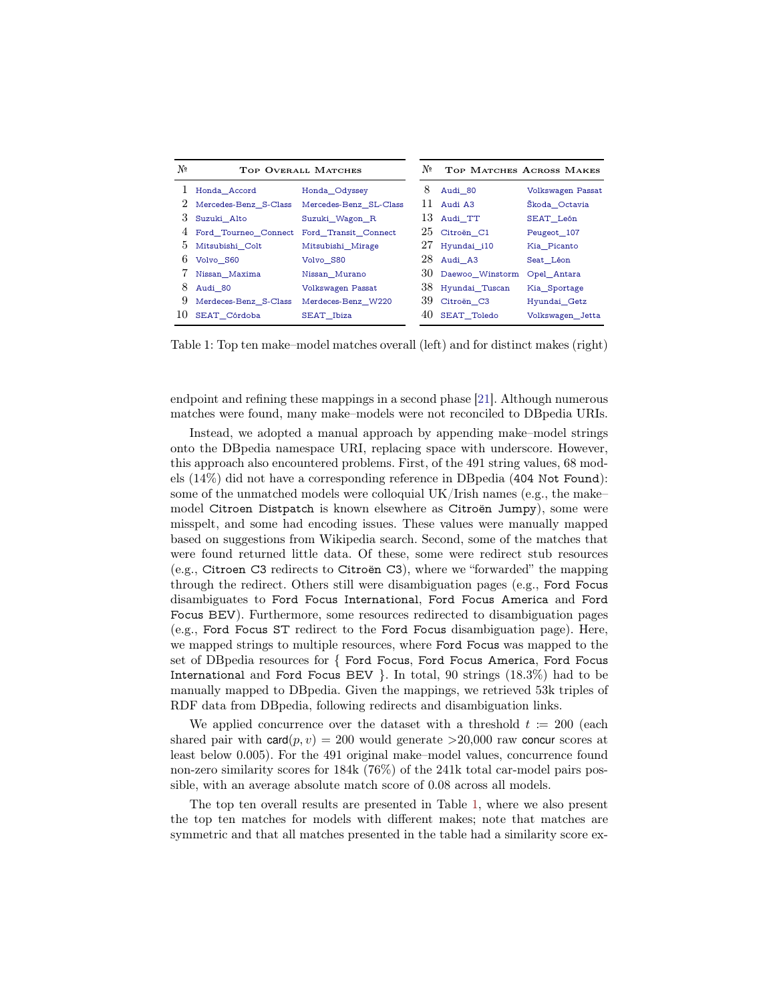<span id="page-8-0"></span>

| Nº |                       | TOP OVERALL MATCHES      | Nº  | TOP MATCHES ACROSS MAKES |                          |  |  |
|----|-----------------------|--------------------------|-----|--------------------------|--------------------------|--|--|
|    | Honda Accord          | Honda Odyssey            | 8   | Audi 80                  | <b>Volkswagen Passat</b> |  |  |
|    | Mercedes-Benz S-Class | Mercedes-Benz SL-Class   | 11  | Audi A3                  | Škoda Octavia            |  |  |
|    | Suzuki Alto           | Suzuki_Wagon_R           | 13- | Audi TT                  | SEAT León                |  |  |
|    | Ford Tourneo Connect  | Ford_Transit_Connect     |     | $25$ Citroën C1          | Peugeot 107              |  |  |
| 5  | Mitsubishi Colt       | Mitsubishi Mirage        | 27  | Hyundai i10              | Kia Picanto              |  |  |
| 6  | Volvo S60             | Volvo S80                | 28  | Audi A3                  | Seat Léon                |  |  |
|    | Nissan_Maxima         | Nissan Murano            |     | 30 Daewoo_Winstorm       | Opel_Antara              |  |  |
| 8  | Audi 80               | <b>Volkswagen Passat</b> | 38  | Hyundai Tuscan           | Kia Sportage             |  |  |
| 9  | Merdeces-Benz_S-Class | Merdeces-Benz W220       | 39  | Citroën C3               | Hyundai_Getz             |  |  |
| 10 | SEAT Córdoba          | SEAT Ibiza               | 40  | SEAT Toledo              | Volkswagen Jetta         |  |  |

Table 1: Top ten make–model matches overall (left) and for distinct makes (right)

endpoint and refining these mappings in a second phase [\[21\]](#page-14-22). Although numerous matches were found, many make–models were not reconciled to DBpedia URIs.

Instead, we adopted a manual approach by appending make–model strings onto the DBpedia namespace URI, replacing space with underscore. However, this approach also encountered problems. First, of the 491 string values, 68 models (14%) did not have a corresponding reference in DBpedia (404 Not Found): some of the unmatched models were colloquial UK/Irish names (e.g., the make– model Citroen Distpatch is known elsewhere as Citroën Jumpy), some were misspelt, and some had encoding issues. These values were manually mapped based on suggestions from Wikipedia search. Second, some of the matches that were found returned little data. Of these, some were redirect stub resources (e.g., Citroen C3 redirects to Citroën C3), where we "forwarded" the mapping through the redirect. Others still were disambiguation pages (e.g., Ford Focus disambiguates to Ford Focus International, Ford Focus America and Ford Focus BEV). Furthermore, some resources redirected to disambiguation pages (e.g., Ford Focus ST redirect to the Ford Focus disambiguation page). Here, we mapped strings to multiple resources, where Ford Focus was mapped to the set of DBpedia resources for { Ford Focus, Ford Focus America, Ford Focus International and Ford Focus BEV }. In total,  $90$  strings  $(18.3\%)$  had to be manually mapped to DBpedia. Given the mappings, we retrieved 53k triples of RDF data from DBpedia, following redirects and disambiguation links.

We applied concurrence over the dataset with a threshold  $t := 200$  (each shared pair with  $\text{card}(p, v) = 200$  would generate  $> 20,000$  raw concur scores at least below 0.005). For the 491 original make–model values, concurrence found non-zero similarity scores for 184k (76%) of the 241k total car-model pairs possible, with an average absolute match score of 0.08 across all models.

The top ten overall results are presented in Table [1,](#page-8-0) where we also present the top ten matches for models with different makes; note that matches are symmetric and that all matches presented in the table had a similarity score ex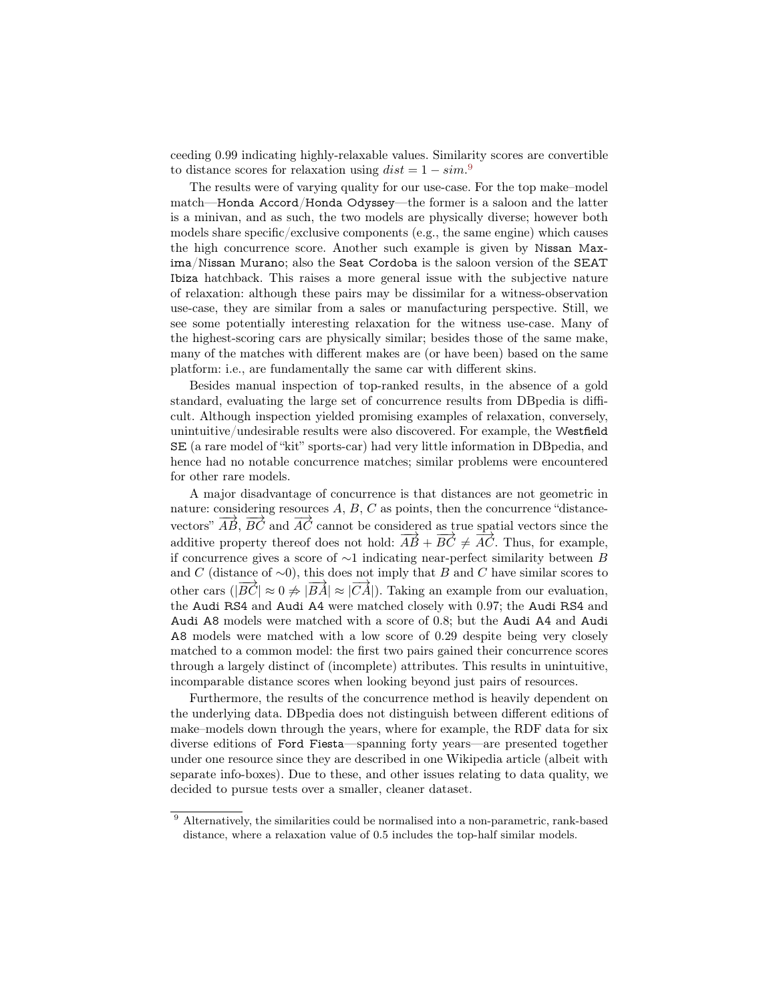ceeding 0.99 indicating highly-relaxable values. Similarity scores are convertible to distance scores for relaxation using  $dist = 1 - sim.^9$  $dist = 1 - sim.^9$ 

The results were of varying quality for our use-case. For the top make–model match—Honda Accord/Honda Odyssey—the former is a saloon and the latter is a minivan, and as such, the two models are physically diverse; however both models share specific/exclusive components (e.g., the same engine) which causes the high concurrence score. Another such example is given by Nissan Maxima/Nissan Murano; also the Seat Cordoba is the saloon version of the SEAT Ibiza hatchback. This raises a more general issue with the subjective nature of relaxation: although these pairs may be dissimilar for a witness-observation use-case, they are similar from a sales or manufacturing perspective. Still, we see some potentially interesting relaxation for the witness use-case. Many of the highest-scoring cars are physically similar; besides those of the same make, many of the matches with different makes are (or have been) based on the same platform: i.e., are fundamentally the same car with different skins.

Besides manual inspection of top-ranked results, in the absence of a gold standard, evaluating the large set of concurrence results from DBpedia is difficult. Although inspection yielded promising examples of relaxation, conversely, unintuitive/undesirable results were also discovered. For example, the Westfield SE (a rare model of "kit" sports-car) had very little information in DBpedia, and hence had no notable concurrence matches; similar problems were encountered for other rare models.

A major disadvantage of concurrence is that distances are not geometric in nature: considering resources  $A, B, C$  as points, then the concurrence "distancevectors"  $\overrightarrow{AB}$ ,  $\overrightarrow{BC}$  and  $\overrightarrow{AC}$  cannot be considered as true spatial vectors since the additive property thereof does not hold:  $\overrightarrow{AB} + \overrightarrow{BC} \neq \overrightarrow{AC}$ . Thus, for example, if concurrence gives a score of ∼1 indicating near-perfect similarity between B and C (distance of  $\sim$ 0), this does not imply that B and C have similar scores to other cars ( $|\overrightarrow{BC}| \approx 0 \neq |\overrightarrow{BA}| \approx |\overrightarrow{CA}|$ ). Taking an example from our evaluation, the Audi RS4 and Audi A4 were matched closely with 0.97; the Audi RS4 and Audi A8 models were matched with a score of 0.8; but the Audi A4 and Audi A8 models were matched with a low score of 0.29 despite being very closely matched to a common model: the first two pairs gained their concurrence scores through a largely distinct of (incomplete) attributes. This results in unintuitive, incomparable distance scores when looking beyond just pairs of resources.

Furthermore, the results of the concurrence method is heavily dependent on the underlying data. DBpedia does not distinguish between different editions of make–models down through the years, where for example, the RDF data for six diverse editions of Ford Fiesta—spanning forty years—are presented together under one resource since they are described in one Wikipedia article (albeit with separate info-boxes). Due to these, and other issues relating to data quality, we decided to pursue tests over a smaller, cleaner dataset.

<span id="page-9-0"></span><sup>9</sup> Alternatively, the similarities could be normalised into a non-parametric, rank-based distance, where a relaxation value of 0.5 includes the top-half similar models.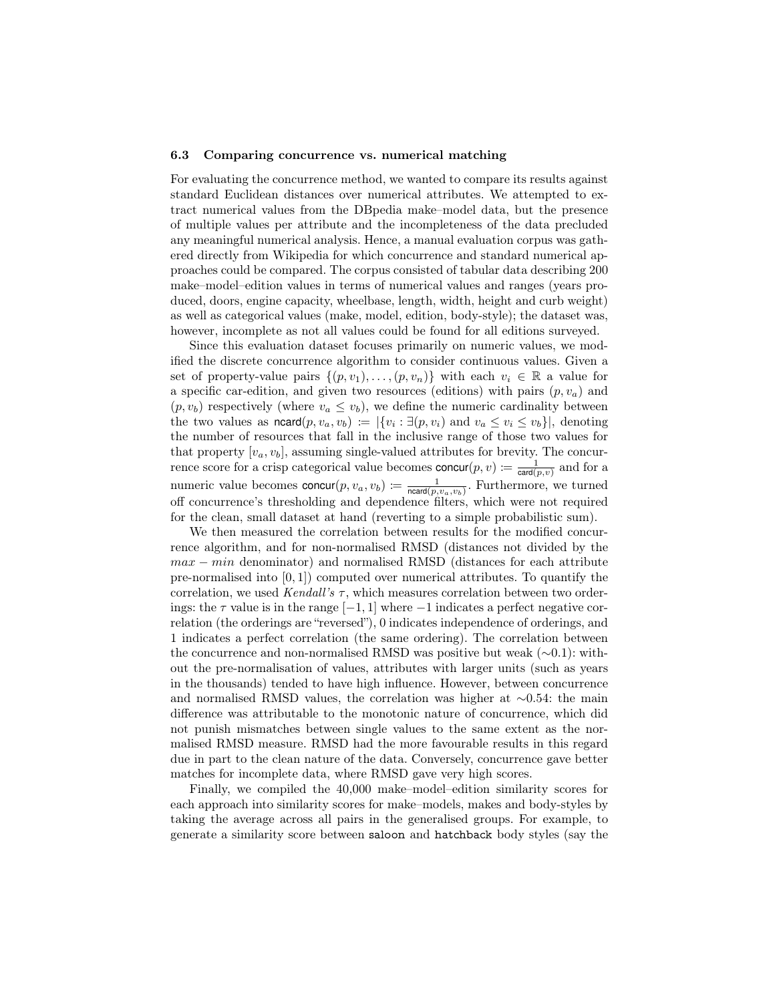#### 6.3 Comparing concurrence vs. numerical matching

For evaluating the concurrence method, we wanted to compare its results against standard Euclidean distances over numerical attributes. We attempted to extract numerical values from the DBpedia make–model data, but the presence of multiple values per attribute and the incompleteness of the data precluded any meaningful numerical analysis. Hence, a manual evaluation corpus was gathered directly from Wikipedia for which concurrence and standard numerical approaches could be compared. The corpus consisted of tabular data describing 200 make–model–edition values in terms of numerical values and ranges (years produced, doors, engine capacity, wheelbase, length, width, height and curb weight) as well as categorical values (make, model, edition, body-style); the dataset was, however, incomplete as not all values could be found for all editions surveyed.

Since this evaluation dataset focuses primarily on numeric values, we modified the discrete concurrence algorithm to consider continuous values. Given a set of property-value pairs  $\{(p, v_1), \ldots, (p, v_n)\}\$  with each  $v_i \in \mathbb{R}$  a value for a specific car-edition, and given two resources (editions) with pairs  $(p, v_a)$  and  $(p, v_b)$  respectively (where  $v_a \leq v_b$ ), we define the numeric cardinality between the two values as  $\mathsf{ncard}(p, v_a, v_b) := |\{v_i : \exists (p, v_i) \text{ and } v_a \le v_i \le v_b\}|,$  denoting the number of resources that fall in the inclusive range of those two values for that property  $[v_a, v_b]$ , assuming single-valued attributes for brevity. The concurrence score for a crisp categorical value becomes **concur** $(p, v) := \frac{1}{\text{card}(p, v)}$  and for a numeric value becomes  $concur(p, v_a, v_b) := \frac{1}{\text{ncard}(p, v_a, v_b)}$ . Furthermore, we turned off concurrence's thresholding and dependence filters, which were not required for the clean, small dataset at hand (reverting to a simple probabilistic sum).

We then measured the correlation between results for the modified concurrence algorithm, and for non-normalised RMSD (distances not divided by the  $max - min$  denominator) and normalised RMSD (distances for each attribute pre-normalised into  $[0, 1]$  computed over numerical attributes. To quantify the correlation, we used Kendall's  $\tau$ , which measures correlation between two orderings: the  $\tau$  value is in the range  $[-1, 1]$  where  $-1$  indicates a perfect negative correlation (the orderings are "reversed"), 0 indicates independence of orderings, and 1 indicates a perfect correlation (the same ordering). The correlation between the concurrence and non-normalised RMSD was positive but weak (∼0.1): without the pre-normalisation of values, attributes with larger units (such as years in the thousands) tended to have high influence. However, between concurrence and normalised RMSD values, the correlation was higher at ∼0.54: the main difference was attributable to the monotonic nature of concurrence, which did not punish mismatches between single values to the same extent as the normalised RMSD measure. RMSD had the more favourable results in this regard due in part to the clean nature of the data. Conversely, concurrence gave better matches for incomplete data, where RMSD gave very high scores.

Finally, we compiled the 40,000 make–model–edition similarity scores for each approach into similarity scores for make–models, makes and body-styles by taking the average across all pairs in the generalised groups. For example, to generate a similarity score between saloon and hatchback body styles (say the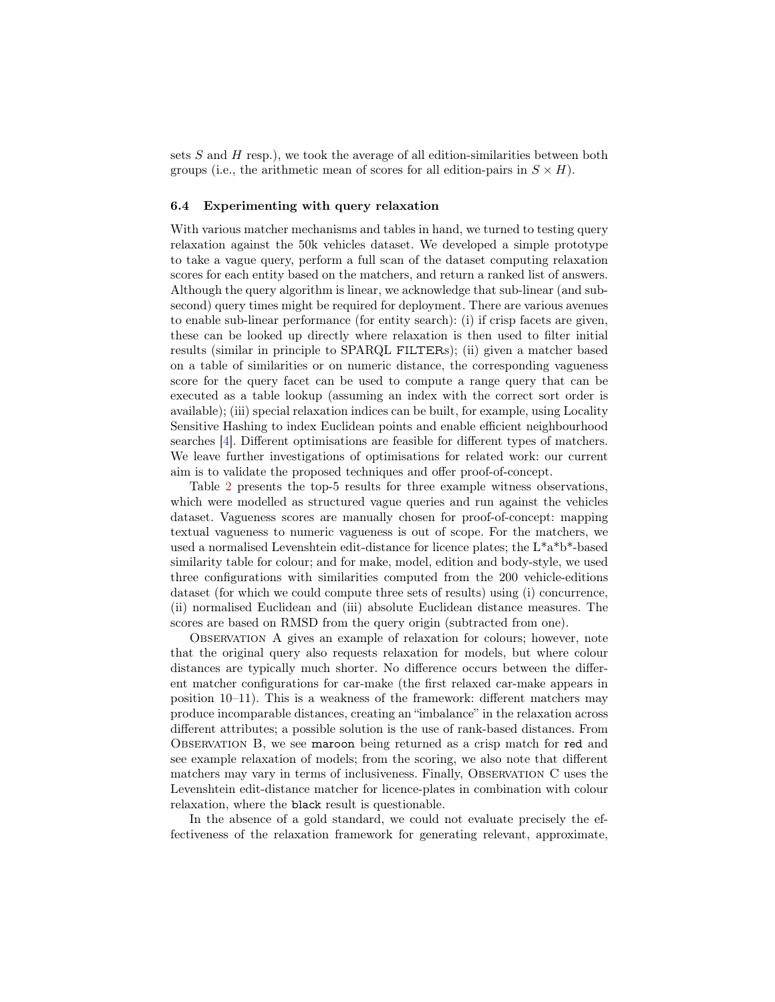sets S and H resp.), we took the average of all edition-similarities between both groups (i.e., the arithmetic mean of scores for all edition-pairs in  $S \times H$ ).

#### 6.4 Experimenting with query relaxation

With various matcher mechanisms and tables in hand, we turned to testing query relaxation against the 50k vehicles dataset. We developed a simple prototype to take a vague query, perform a full scan of the dataset computing relaxation scores for each entity based on the matchers, and return a ranked list of answers. Although the query algorithm is linear, we acknowledge that sub-linear (and subsecond) query times might be required for deployment. There are various avenues to enable sub-linear performance (for entity search): (i) if crisp facets are given, these can be looked up directly where relaxation is then used to filter initial results (similar in principle to SPARQL FILTERs); (ii) given a matcher based on a table of similarities or on numeric distance, the corresponding vagueness score for the query facet can be used to compute a range query that can be executed as a table lookup (assuming an index with the correct sort order is available); (iii) special relaxation indices can be built, for example, using Locality Sensitive Hashing to index Euclidean points and enable efficient neighbourhood searches [\[4\]](#page-13-6). Different optimisations are feasible for different types of matchers. We leave further investigations of optimisations for related work: our current aim is to validate the proposed techniques and offer proof-of-concept.

Table [2](#page-12-0) presents the top-5 results for three example witness observations, which were modelled as structured vague queries and run against the vehicles dataset. Vagueness scores are manually chosen for proof-of-concept: mapping textual vagueness to numeric vagueness is out of scope. For the matchers, we used a normalised Levenshtein edit-distance for licence plates; the L\*a\*b\*-based similarity table for colour; and for make, model, edition and body-style, we used three configurations with similarities computed from the 200 vehicle-editions dataset (for which we could compute three sets of results) using (i) concurrence, (ii) normalised Euclidean and (iii) absolute Euclidean distance measures. The scores are based on RMSD from the query origin (subtracted from one).

Observation A gives an example of relaxation for colours; however, note that the original query also requests relaxation for models, but where colour distances are typically much shorter. No difference occurs between the different matcher configurations for car-make (the first relaxed car-make appears in position 10–11). This is a weakness of the framework: different matchers may produce incomparable distances, creating an "imbalance" in the relaxation across different attributes; a possible solution is the use of rank-based distances. From Observation B, we see maroon being returned as a crisp match for red and see example relaxation of models; from the scoring, we also note that different matchers may vary in terms of inclusiveness. Finally, Observation C uses the Levenshtein edit-distance matcher for licence-plates in combination with colour relaxation, where the black result is questionable.

In the absence of a gold standard, we could not evaluate precisely the effectiveness of the relaxation framework for generating relevant, approximate,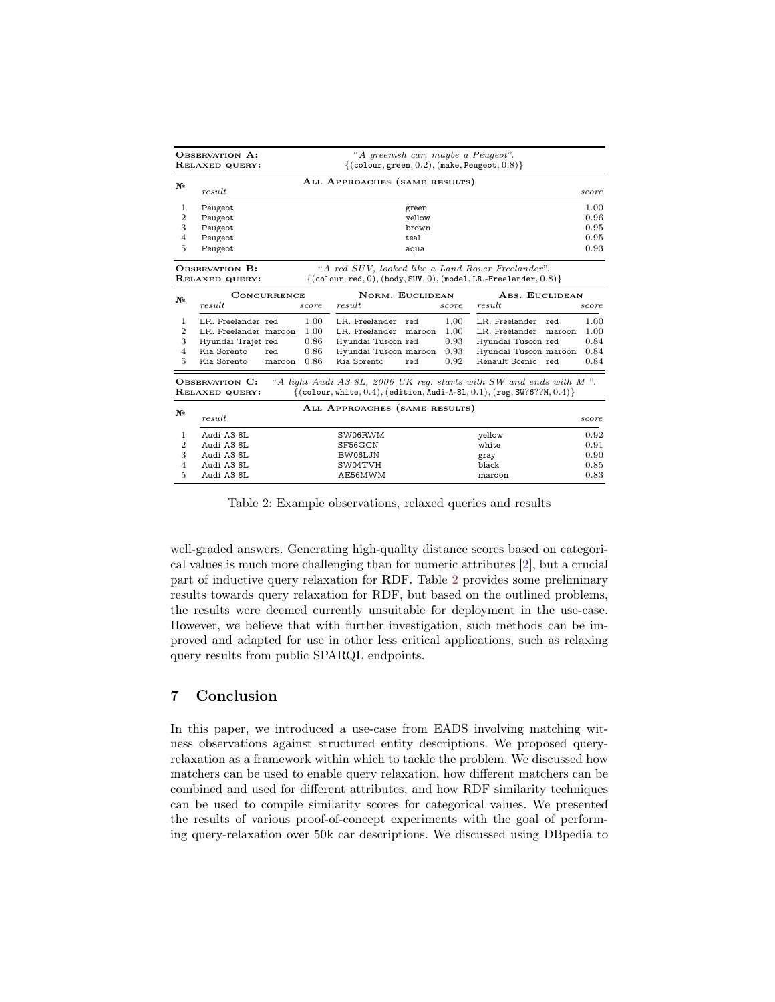<span id="page-12-0"></span>

| OBSERVATION A:<br>RELAXED QUERY: |                               | "A greenish car, maybe a Peugeot".<br>$\{(colour, green, 0.2), (make, Peugeot, 0.8)\}\$ |       |                       |        |       |                                                                                                                        |        |       |  |
|----------------------------------|-------------------------------|-----------------------------------------------------------------------------------------|-------|-----------------------|--------|-------|------------------------------------------------------------------------------------------------------------------------|--------|-------|--|
| N∘                               | ALL APPROACHES (SAME RESULTS) |                                                                                         |       |                       |        |       |                                                                                                                        |        |       |  |
|                                  | result                        |                                                                                         |       |                       |        |       |                                                                                                                        |        | score |  |
| 1                                | Peugeot                       | green                                                                                   |       |                       |        |       |                                                                                                                        |        | 1.00  |  |
| $\overline{2}$                   | Peugeot                       | yellow                                                                                  |       |                       |        |       |                                                                                                                        |        | 0.96  |  |
| 3                                | Peugeot                       | brown                                                                                   |       |                       |        |       |                                                                                                                        |        | 0.95  |  |
| 4                                | Peugeot                       | teal                                                                                    |       |                       |        |       |                                                                                                                        |        | 0.95  |  |
| 5                                | Peugeot                       | aqua                                                                                    |       |                       |        |       |                                                                                                                        |        | 0.93  |  |
|                                  | OBSERVATION B:                |                                                                                         |       |                       |        |       | "A red SUV, looked like a Land Rover Freelander".                                                                      |        |       |  |
|                                  | RELAXED QUERY:                |                                                                                         |       |                       |        |       | $\{(colour, red, 0), (body, SUV, 0), (model, LR.-Freelander, 0.8)\}\$                                                  |        |       |  |
| N∘                               | <b>CONCURRENCE</b>            |                                                                                         |       | NORM. EUCLIDEAN       |        |       | ABS. EUCLIDEAN                                                                                                         |        |       |  |
|                                  | result                        |                                                                                         | score | result                |        | score | result                                                                                                                 |        | score |  |
| 1                                | L.R. Freelander red           |                                                                                         | 1.00  | L.R. Freelander       | red    | 1.00  | L.R. Freelander                                                                                                        | red    | 1.00  |  |
| $\overline{2}$                   | L.R., Freelander, maroon      |                                                                                         | 1.00  | L.R. Freelander       | maroon | 1.00  | L.R. Freelander                                                                                                        | maroon | 1.00  |  |
| 3                                | Hyundai Trajet red            |                                                                                         | 0.86  | Hyundai Tuscon red    |        | 0.93  | Hyundai Tuscon red                                                                                                     |        | 0.84  |  |
| 4                                | Kia Sorento                   | red                                                                                     | 0.86  | Hyundai Tuscon maroon |        | 0.93  | Hyundai Tuscon maroon                                                                                                  |        | 0.84  |  |
| 5                                | Kia Sorento                   | maroon                                                                                  | 0.86  | Kia Sorento           | red    | 0.92  | Renault Scenic red                                                                                                     |        | 0.84  |  |
|                                  | OBSERVATION C:                |                                                                                         |       |                       |        |       | "A light Audi A3 8L, 2006 UK reg. starts with SW and ends with M $"$ .                                                 |        |       |  |
|                                  | RELAXED QUERY:                |                                                                                         |       |                       |        |       | $\{(\text{colour}, \text{white}, 0.4), (\text{edition}, \text{Audio-A-81}, 0.1), (\text{reg}, \text{SW?6??M}, 0.4)\}\$ |        |       |  |
| N∘                               | ALL APPROACHES (SAME RESULTS) |                                                                                         |       |                       |        |       |                                                                                                                        |        |       |  |
|                                  | result                        |                                                                                         |       |                       |        |       |                                                                                                                        |        | score |  |
| 1.                               | Audi A3 8L                    |                                                                                         |       | SW06RWM               |        |       | yellow                                                                                                                 |        | 0.92  |  |
| $\overline{2}$                   | Audi A3 8L                    |                                                                                         |       | SF56GCN               |        |       | white                                                                                                                  |        | 0.91  |  |
| 3                                | Audi A3 8L                    |                                                                                         |       | BW06LJN               |        |       | gray                                                                                                                   |        | 0.90  |  |
| 4                                | Audi A3 8L                    |                                                                                         |       | SW04TVH               |        |       | black                                                                                                                  |        | 0.85  |  |
| 5                                | Audi A3 8L                    |                                                                                         |       | AE56MWM               |        |       | maroon                                                                                                                 |        | 0.83  |  |

Table 2: Example observations, relaxed queries and results

well-graded answers. Generating high-quality distance scores based on categorical values is much more challenging than for numeric attributes [\[2\]](#page-13-4), but a crucial part of inductive query relaxation for RDF. Table [2](#page-12-0) provides some preliminary results towards query relaxation for RDF, but based on the outlined problems, the results were deemed currently unsuitable for deployment in the use-case. However, we believe that with further investigation, such methods can be improved and adapted for use in other less critical applications, such as relaxing query results from public SPARQL endpoints.

## 7 Conclusion

In this paper, we introduced a use-case from EADS involving matching witness observations against structured entity descriptions. We proposed queryrelaxation as a framework within which to tackle the problem. We discussed how matchers can be used to enable query relaxation, how different matchers can be combined and used for different attributes, and how RDF similarity techniques can be used to compile similarity scores for categorical values. We presented the results of various proof-of-concept experiments with the goal of performing query-relaxation over 50k car descriptions. We discussed using DBpedia to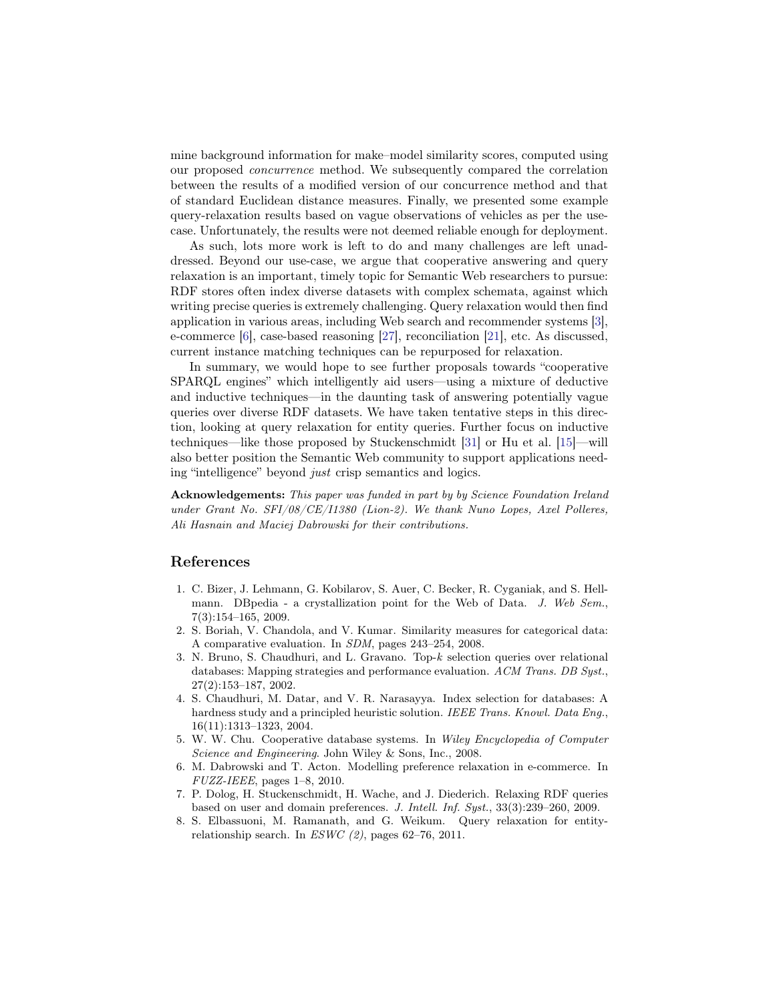mine background information for make–model similarity scores, computed using our proposed concurrence method. We subsequently compared the correlation between the results of a modified version of our concurrence method and that of standard Euclidean distance measures. Finally, we presented some example query-relaxation results based on vague observations of vehicles as per the usecase. Unfortunately, the results were not deemed reliable enough for deployment.

As such, lots more work is left to do and many challenges are left unaddressed. Beyond our use-case, we argue that cooperative answering and query relaxation is an important, timely topic for Semantic Web researchers to pursue: RDF stores often index diverse datasets with complex schemata, against which writing precise queries is extremely challenging. Query relaxation would then find application in various areas, including Web search and recommender systems [\[3\]](#page-13-1), e-commerce [\[6\]](#page-13-7), case-based reasoning [\[27\]](#page-14-7), reconciliation [\[21\]](#page-14-22), etc. As discussed, current instance matching techniques can be repurposed for relaxation.

In summary, we would hope to see further proposals towards "cooperative SPARQL engines" which intelligently aid users—using a mixture of deductive and inductive techniques—in the daunting task of answering potentially vague queries over diverse RDF datasets. We have taken tentative steps in this direction, looking at query relaxation for entity queries. Further focus on inductive techniques—like those proposed by Stuckenschmidt [\[31\]](#page-14-23) or Hu et al. [\[15\]](#page-14-17)—will also better position the Semantic Web community to support applications needing "intelligence" beyond just crisp semantics and logics.

Acknowledgements: This paper was funded in part by by Science Foundation Ireland under Grant No. SFI/08/CE/I1380 (Lion-2). We thank Nuno Lopes, Axel Polleres, Ali Hasnain and Maciej Dabrowski for their contributions.

### References

- <span id="page-13-5"></span>1. C. Bizer, J. Lehmann, G. Kobilarov, S. Auer, C. Becker, R. Cyganiak, and S. Hellmann. DBpedia - a crystallization point for the Web of Data. J. Web Sem., 7(3):154–165, 2009.
- <span id="page-13-4"></span>2. S. Boriah, V. Chandola, and V. Kumar. Similarity measures for categorical data: A comparative evaluation. In SDM, pages 243–254, 2008.
- <span id="page-13-1"></span>3. N. Bruno, S. Chaudhuri, and L. Gravano. Top-k selection queries over relational databases: Mapping strategies and performance evaluation. ACM Trans. DB Syst., 27(2):153–187, 2002.
- <span id="page-13-6"></span>4. S. Chaudhuri, M. Datar, and V. R. Narasayya. Index selection for databases: A hardness study and a principled heuristic solution. IEEE Trans. Knowl. Data Eng., 16(11):1313–1323, 2004.
- <span id="page-13-0"></span>5. W. W. Chu. Cooperative database systems. In Wiley Encyclopedia of Computer Science and Engineering. John Wiley & Sons, Inc., 2008.
- <span id="page-13-7"></span>6. M. Dabrowski and T. Acton. Modelling preference relaxation in e-commerce. In  $FUZZ$ -IEEE, pages 1–8, 2010.
- <span id="page-13-2"></span>7. P. Dolog, H. Stuckenschmidt, H. Wache, and J. Diederich. Relaxing RDF queries based on user and domain preferences. J. Intell. Inf. Syst., 33(3):239–260, 2009.
- <span id="page-13-3"></span>8. S. Elbassuoni, M. Ramanath, and G. Weikum. Query relaxation for entityrelationship search. In  $ESWC$  (2), pages 62–76, 2011.